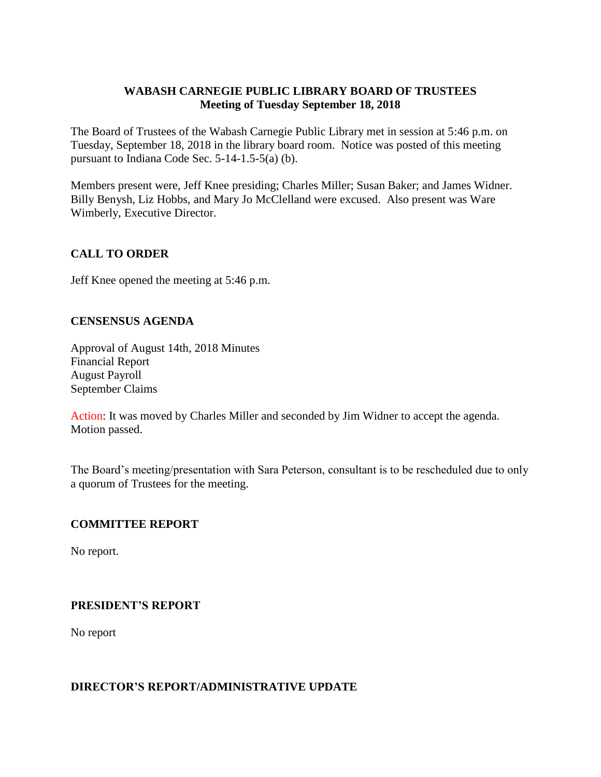## **WABASH CARNEGIE PUBLIC LIBRARY BOARD OF TRUSTEES Meeting of Tuesday September 18, 2018**

The Board of Trustees of the Wabash Carnegie Public Library met in session at 5:46 p.m. on Tuesday, September 18, 2018 in the library board room. Notice was posted of this meeting pursuant to Indiana Code Sec. 5-14-1.5-5(a) (b).

Members present were, Jeff Knee presiding; Charles Miller; Susan Baker; and James Widner. Billy Benysh, Liz Hobbs, and Mary Jo McClelland were excused. Also present was Ware Wimberly, Executive Director.

# **CALL TO ORDER**

Jeff Knee opened the meeting at 5:46 p.m.

## **CENSENSUS AGENDA**

Approval of August 14th, 2018 Minutes Financial Report August Payroll September Claims

Action: It was moved by Charles Miller and seconded by Jim Widner to accept the agenda. Motion passed.

The Board's meeting/presentation with Sara Peterson, consultant is to be rescheduled due to only a quorum of Trustees for the meeting.

## **COMMITTEE REPORT**

No report.

## **PRESIDENT'S REPORT**

No report

#### **DIRECTOR'S REPORT/ADMINISTRATIVE UPDATE**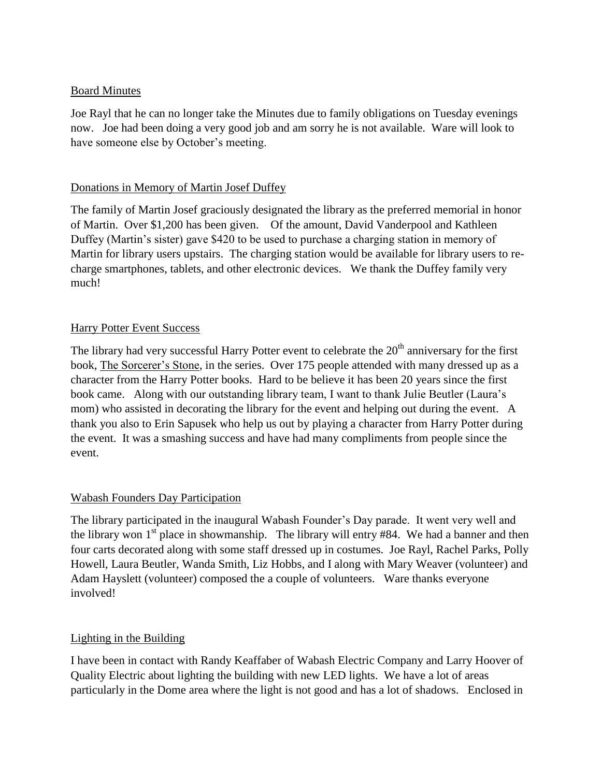### Board Minutes

Joe Rayl that he can no longer take the Minutes due to family obligations on Tuesday evenings now. Joe had been doing a very good job and am sorry he is not available. Ware will look to have someone else by October's meeting.

#### Donations in Memory of Martin Josef Duffey

The family of Martin Josef graciously designated the library as the preferred memorial in honor of Martin. Over \$1,200 has been given. Of the amount, David Vanderpool and Kathleen Duffey (Martin's sister) gave \$420 to be used to purchase a charging station in memory of Martin for library users upstairs. The charging station would be available for library users to recharge smartphones, tablets, and other electronic devices. We thank the Duffey family very much!

#### Harry Potter Event Success

The library had very successful Harry Potter event to celebrate the 20<sup>th</sup> anniversary for the first book, The Sorcerer's Stone, in the series. Over 175 people attended with many dressed up as a character from the Harry Potter books. Hard to be believe it has been 20 years since the first book came. Along with our outstanding library team, I want to thank Julie Beutler (Laura's mom) who assisted in decorating the library for the event and helping out during the event. A thank you also to Erin Sapusek who help us out by playing a character from Harry Potter during the event. It was a smashing success and have had many compliments from people since the event.

## Wabash Founders Day Participation

The library participated in the inaugural Wabash Founder's Day parade. It went very well and the library won  $1<sup>st</sup>$  place in showmanship. The library will entry #84. We had a banner and then four carts decorated along with some staff dressed up in costumes. Joe Rayl, Rachel Parks, Polly Howell, Laura Beutler, Wanda Smith, Liz Hobbs, and I along with Mary Weaver (volunteer) and Adam Hayslett (volunteer) composed the a couple of volunteers. Ware thanks everyone involved!

## Lighting in the Building

I have been in contact with Randy Keaffaber of Wabash Electric Company and Larry Hoover of Quality Electric about lighting the building with new LED lights. We have a lot of areas particularly in the Dome area where the light is not good and has a lot of shadows. Enclosed in